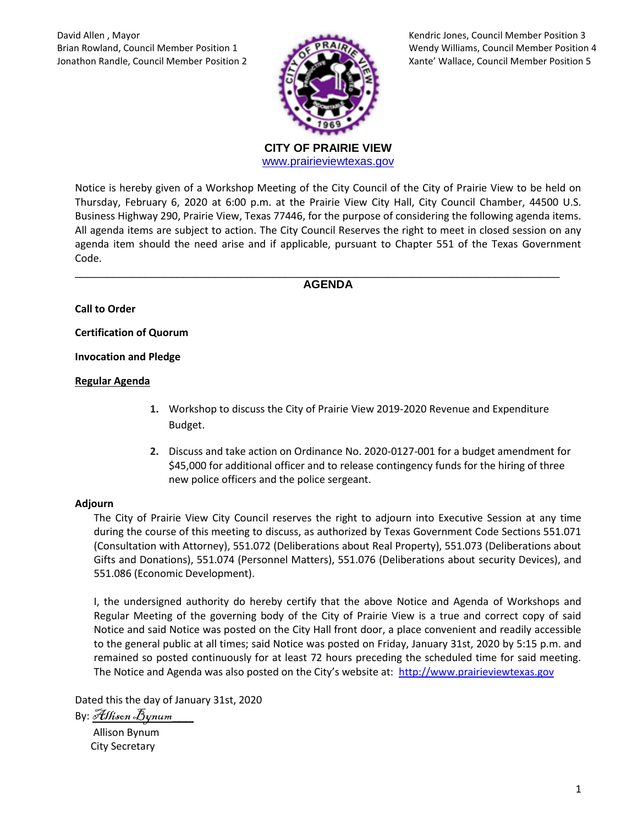

Brian Rowland, Council Member Position 1 Wendy Williams, Council Member Position 4

**CITY OF PRAIRIE VIEW**  [www.prairieviewtexas.gov](http://www.prairieviewtexas.gov/)

Notice is hereby given of a Workshop Meeting of the City Council of the City of Prairie View to be held on Thursday, February 6, 2020 at 6:00 p.m. at the Prairie View City Hall, City Council Chamber, 44500 U.S. Business Highway 290, Prairie View, Texas 77446, for the purpose of considering the following agenda items. All agenda items are subject to action. The City Council Reserves the right to meet in closed session on any agenda item should the need arise and if applicable, pursuant to Chapter 551 of the Texas Government Code.

## \_\_\_\_\_\_\_\_\_\_\_\_\_\_\_\_\_\_\_\_\_\_\_\_\_\_\_\_\_\_\_\_\_\_\_\_\_\_\_\_\_\_\_\_\_\_\_\_\_\_\_\_\_\_\_\_\_\_\_\_\_\_\_\_\_\_\_\_\_\_\_\_\_\_\_\_ **AGENDA**

**Call to Order**

**Certification of Quorum**

**Invocation and Pledge**

## **Regular Agenda**

- **1.** Workshop to discuss the City of Prairie View 2019-2020 Revenue and Expenditure Budget.
- **2.** Discuss and take action on Ordinance No. 2020-0127-001 for a budget amendment for \$45,000 for additional officer and to release contingency funds for the hiring of three new police officers and the police sergeant.

## **Adjourn**

The City of Prairie View City Council reserves the right to adjourn into Executive Session at any time during the course of this meeting to discuss, as authorized by Texas Government Code Sections 551.071 (Consultation with Attorney), 551.072 (Deliberations about Real Property), 551.073 (Deliberations about Gifts and Donations), 551.074 (Personnel Matters), 551.076 (Deliberations about security Devices), and 551.086 (Economic Development).

I, the undersigned authority do hereby certify that the above Notice and Agenda of Workshops and Regular Meeting of the governing body of the City of Prairie View is a true and correct copy of said Notice and said Notice was posted on the City Hall front door, a place convenient and readily accessible to the general public at all times; said Notice was posted on Friday, January 31st, 2020 by 5:15 p.m. and remained so posted continuously for at least 72 hours preceding the scheduled time for said meeting. The Notice and Agenda was also posted on the City's website at: [http://www.prairieviewtexas.gov](http://www.prairieviewtexas.gov/)

Dated this the day of January 31st, 2020

By: *Allison* Bynum

 Allison Bynum City Secretary